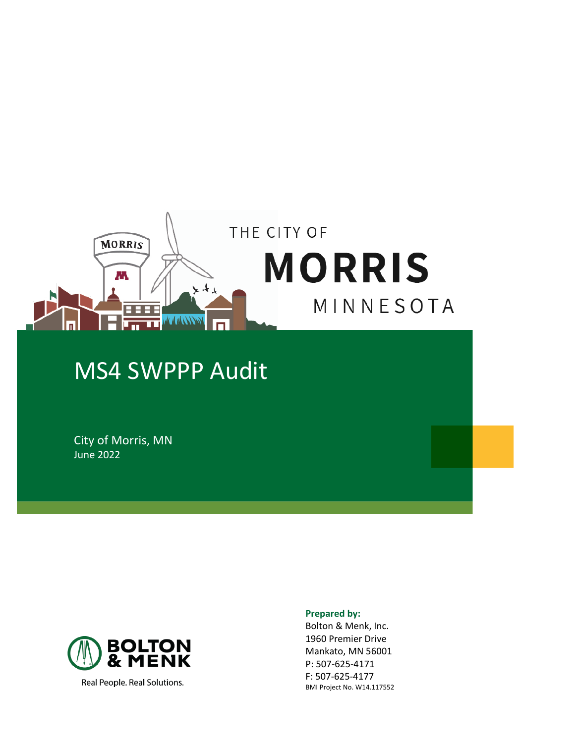

# MS4 SWPPP Audit

City of Morris, MN June 2022



Real People. Real Solutions.

#### **Prepared by:**

Bolton & Menk, Inc. 1960 Premier Drive Mankato, MN 56001 P: 507-625-4171 F: 507-625-4177 BMI Project No. W14.117552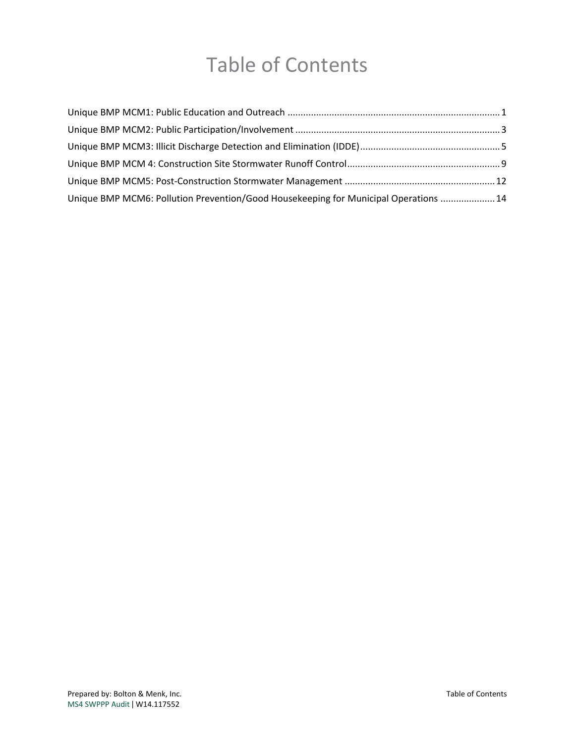# Table of Contents

| Unique BMP MCM6: Pollution Prevention/Good Housekeeping for Municipal Operations  14 |  |
|--------------------------------------------------------------------------------------|--|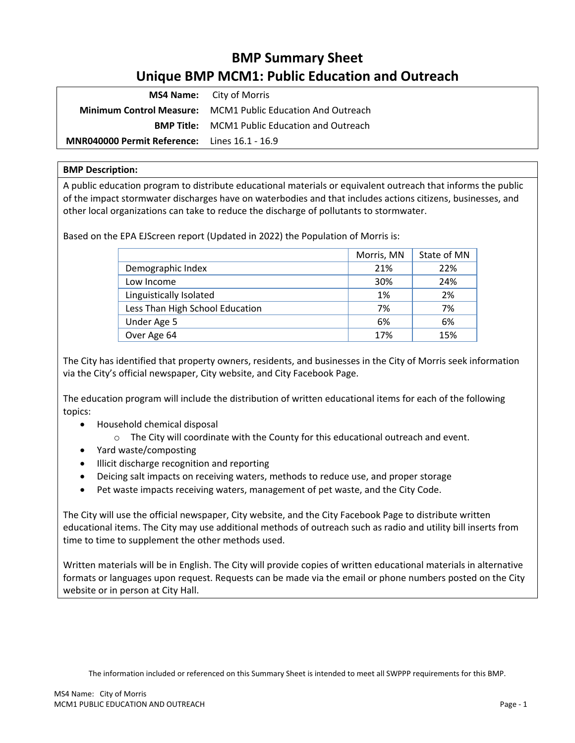# **BMP Summary Sheet Unique BMP MCM1: Public Education and Outreach**

<span id="page-2-0"></span>

|                                                      | <b>MS4 Name:</b> City of Morris                                    |
|------------------------------------------------------|--------------------------------------------------------------------|
|                                                      | <b>Minimum Control Measure:</b> MCM1 Public Education And Outreach |
|                                                      | <b>BMP Title:</b> MCM1 Public Education and Outreach               |
| <b>MNR040000 Permit Reference:</b> Lines 16.1 - 16.9 |                                                                    |

### **BMP Description:**

A public education program to distribute educational materials or equivalent outreach that informs the public of the impact stormwater discharges have on waterbodies and that includes actions citizens, businesses, and other local organizations can take to reduce the discharge of pollutants to stormwater.

Based on the EPA EJScreen report (Updated in 2022) the Population of Morris is:

|                                 | Morris, MN | State of MN |
|---------------------------------|------------|-------------|
| Demographic Index               | 21%        | 22%         |
| Low Income                      | 30%        | 24%         |
| Linguistically Isolated         | 1%         | 2%          |
| Less Than High School Education | 7%         | 7%          |
| Under Age 5                     | 6%         | 6%          |
| Over Age 64                     | 17%        | 15%         |

The City has identified that property owners, residents, and businesses in the City of Morris seek information via the City's official newspaper, City website, and City Facebook Page.

The education program will include the distribution of written educational items for each of the following topics:

- Household chemical disposal
	- $\circ$  The City will coordinate with the County for this educational outreach and event.
- Yard waste/composting
- Illicit discharge recognition and reporting
- Deicing salt impacts on receiving waters, methods to reduce use, and proper storage
- Pet waste impacts receiving waters, management of pet waste, and the City Code.

The City will use the official newspaper, City website, and the City Facebook Page to distribute written educational items. The City may use additional methods of outreach such as radio and utility bill inserts from time to time to supplement the other methods used.

Written materials will be in English. The City will provide copies of written educational materials in alternative formats or languages upon request. Requests can be made via the email or phone numbers posted on the City website or in person at City Hall.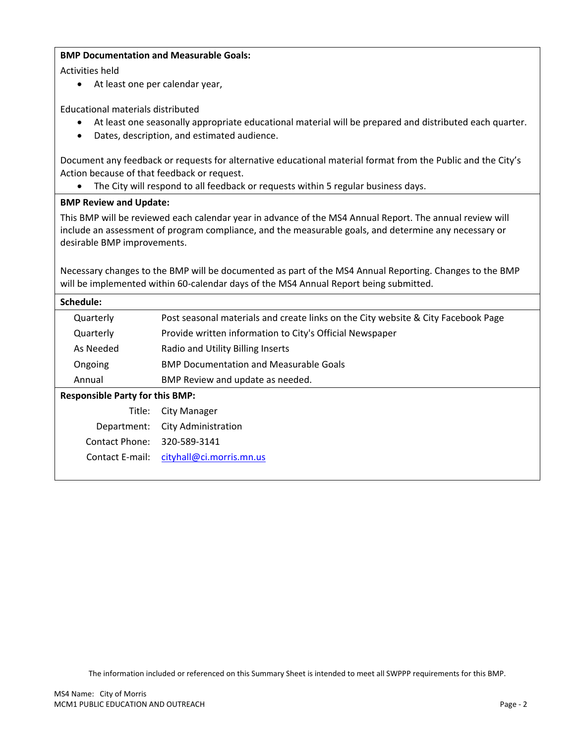### **BMP Documentation and Measurable Goals:**

Activities held

• At least one per calendar year,

Educational materials distributed

- At least one seasonally appropriate educational material will be prepared and distributed each quarter.
- Dates, description, and estimated audience.

Document any feedback or requests for alternative educational material format from the Public and the City's Action because of that feedback or request.

• The City will respond to all feedback or requests within 5 regular business days.

# **BMP Review and Update:**

This BMP will be reviewed each calendar year in advance of the MS4 Annual Report. The annual review will include an assessment of program compliance, and the measurable goals, and determine any necessary or desirable BMP improvements.

Necessary changes to the BMP will be documented as part of the MS4 Annual Reporting. Changes to the BMP will be implemented within 60-calendar days of the MS4 Annual Report being submitted.

### **Schedule:**

|                                        | Quarterly | Post seasonal materials and create links on the City website & City Facebook Page |
|----------------------------------------|-----------|-----------------------------------------------------------------------------------|
|                                        | Quarterly | Provide written information to City's Official Newspaper                          |
|                                        | As Needed | Radio and Utility Billing Inserts                                                 |
|                                        | Ongoing   | <b>BMP Documentation and Measurable Goals</b>                                     |
|                                        | Annual    | BMP Review and update as needed.                                                  |
| <b>Responsible Party for this BMP:</b> |           |                                                                                   |
|                                        | Title:    | City Manager                                                                      |
|                                        |           |                                                                                   |

|                             | Department: City Administration          |
|-----------------------------|------------------------------------------|
| Contact Phone: 320-589-3141 |                                          |
|                             | Contact E-mail: cityhall@ci.morris.mn.us |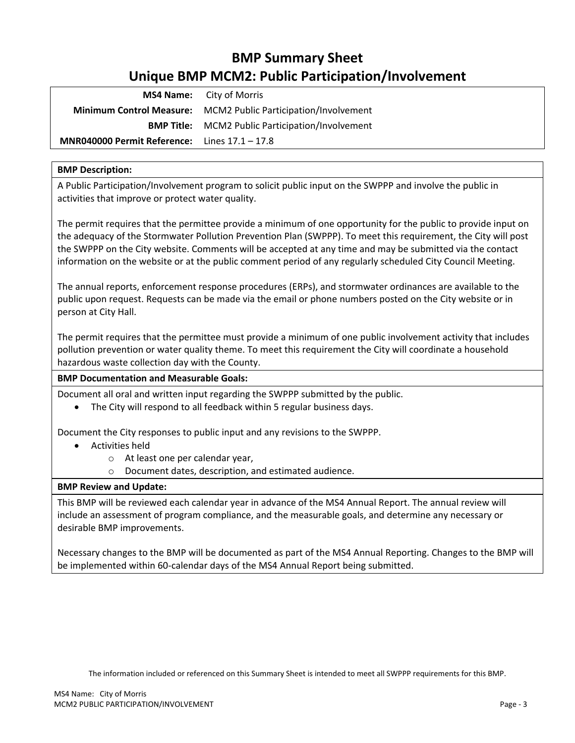# **BMP Summary Sheet Unique BMP MCM2: Public Participation/Involvement**

<span id="page-4-0"></span>

|                                                        | <b>MS4 Name:</b> City of Morris                                |
|--------------------------------------------------------|----------------------------------------------------------------|
|                                                        | Minimum Control Measure: MCM2 Public Participation/Involvement |
|                                                        | <b>BMP Title:</b> MCM2 Public Participation/Involvement        |
| <b>MNR040000 Permit Reference:</b> Lines $17.1 - 17.8$ |                                                                |

# **BMP Description:**

A Public Participation/Involvement program to solicit public input on the SWPPP and involve the public in activities that improve or protect water quality.

The permit requires that the permittee provide a minimum of one opportunity for the public to provide input on the adequacy of the Stormwater Pollution Prevention Plan (SWPPP). To meet this requirement, the City will post the SWPPP on the City website. Comments will be accepted at any time and may be submitted via the contact information on the website or at the public comment period of any regularly scheduled City Council Meeting.

The annual reports, enforcement response procedures (ERPs), and stormwater ordinances are available to the public upon request. Requests can be made via the email or phone numbers posted on the City website or in person at City Hall.

The permit requires that the permittee must provide a minimum of one public involvement activity that includes pollution prevention or water quality theme. To meet this requirement the City will coordinate a household hazardous waste collection day with the County.

### **BMP Documentation and Measurable Goals:**

Document all oral and written input regarding the SWPPP submitted by the public.

• The City will respond to all feedback within 5 regular business days.

Document the City responses to public input and any revisions to the SWPPP.

- Activities held
	- o At least one per calendar year,
	- o Document dates, description, and estimated audience.

### **BMP Review and Update:**

This BMP will be reviewed each calendar year in advance of the MS4 Annual Report. The annual review will include an assessment of program compliance, and the measurable goals, and determine any necessary or desirable BMP improvements.

Necessary changes to the BMP will be documented as part of the MS4 Annual Reporting. Changes to the BMP will be implemented within 60-calendar days of the MS4 Annual Report being submitted.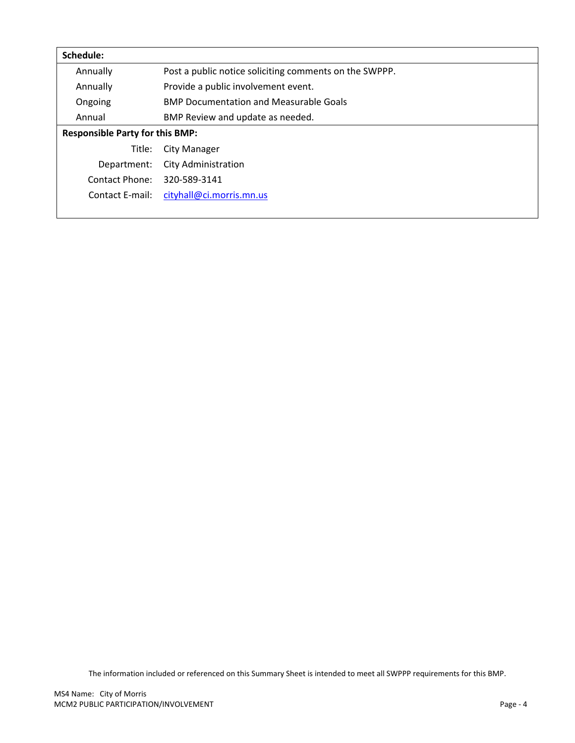| Schedule:                              |                                                        |
|----------------------------------------|--------------------------------------------------------|
| Annually                               | Post a public notice soliciting comments on the SWPPP. |
| Annually                               | Provide a public involvement event.                    |
| Ongoing                                | <b>BMP Documentation and Measurable Goals</b>          |
| Annual                                 | BMP Review and update as needed.                       |
| <b>Responsible Party for this BMP:</b> |                                                        |
| Title:                                 | City Manager                                           |
| Department:                            | City Administration                                    |
| Contact Phone:                         | 320-589-3141                                           |
| Contact E-mail:                        | cityhall@ci.morris.mn.us                               |
|                                        |                                                        |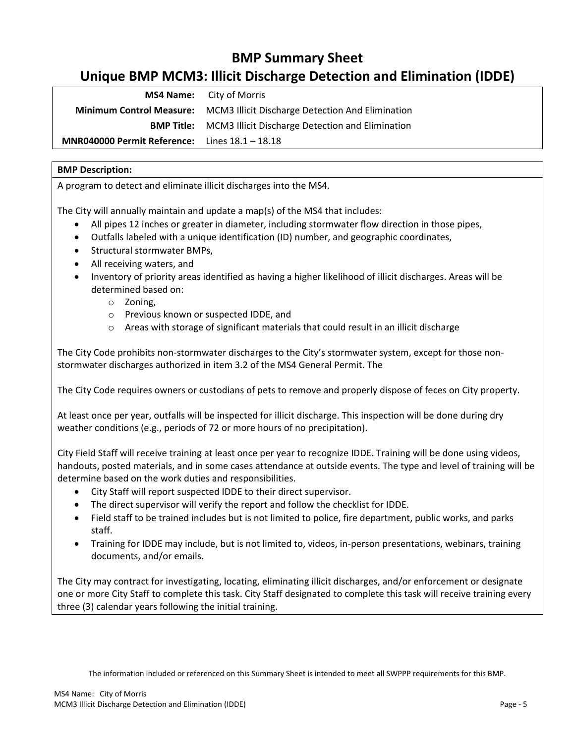# **BMP Summary Sheet**

# <span id="page-6-0"></span>**Unique BMP MCM3: Illicit Discharge Detection and Elimination (IDDE)**

| <b>MS4 Name:</b> City of Morris                       |                                                                           |
|-------------------------------------------------------|---------------------------------------------------------------------------|
|                                                       | Minimum Control Measure: MCM3 Illicit Discharge Detection And Elimination |
|                                                       | <b>BMP Title:</b> MCM3 Illicit Discharge Detection and Elimination        |
| <b>MNR040000 Permit Reference:</b> Lines 18.1 – 18.18 |                                                                           |

# **BMP Description:**

A program to detect and eliminate illicit discharges into the MS4.

The City will annually maintain and update a map(s) of the MS4 that includes:

- All pipes 12 inches or greater in diameter, including stormwater flow direction in those pipes,
- Outfalls labeled with a unique identification (ID) number, and geographic coordinates,
- Structural stormwater BMPs,
- All receiving waters, and
- Inventory of priority areas identified as having a higher likelihood of illicit discharges. Areas will be determined based on:
	- o Zoning,
	- o Previous known or suspected IDDE, and
	- o Areas with storage of significant materials that could result in an illicit discharge

The City Code prohibits non-stormwater discharges to the City's stormwater system, except for those nonstormwater discharges authorized in item 3.2 of the MS4 General Permit. The

The City Code requires owners or custodians of pets to remove and properly dispose of feces on City property.

At least once per year, outfalls will be inspected for illicit discharge. This inspection will be done during dry weather conditions (e.g., periods of 72 or more hours of no precipitation).

City Field Staff will receive training at least once per year to recognize IDDE. Training will be done using videos, handouts, posted materials, and in some cases attendance at outside events. The type and level of training will be determine based on the work duties and responsibilities.

- City Staff will report suspected IDDE to their direct supervisor.
- The direct supervisor will verify the report and follow the checklist for IDDE.
- Field staff to be trained includes but is not limited to police, fire department, public works, and parks staff.
- Training for IDDE may include, but is not limited to, videos, in-person presentations, webinars, training documents, and/or emails.

The City may contract for investigating, locating, eliminating illicit discharges, and/or enforcement or designate one or more City Staff to complete this task. City Staff designated to complete this task will receive training every three (3) calendar years following the initial training.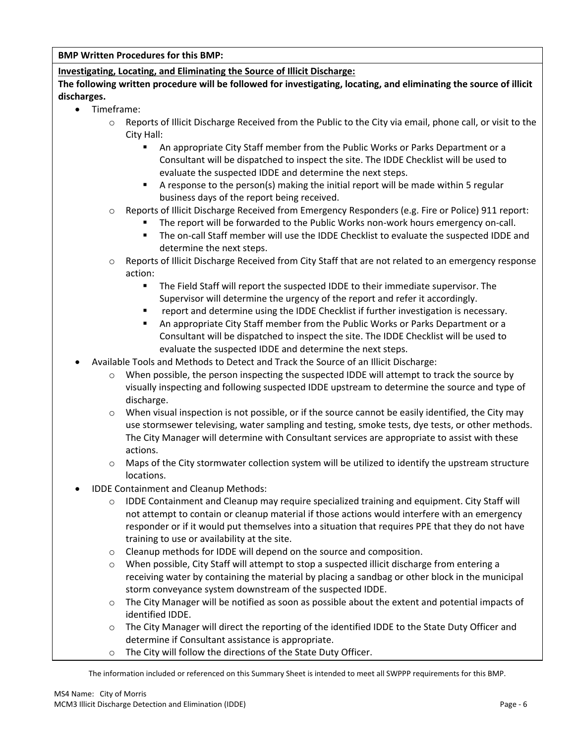**BMP Written Procedures for this BMP:**

**Investigating, Locating, and Eliminating the Source of Illicit Discharge:**

**The following written procedure will be followed for investigating, locating, and eliminating the source of illicit discharges.** 

- Timeframe:
	- $\circ$  Reports of Illicit Discharge Received from the Public to the City via email, phone call, or visit to the City Hall:
		- An appropriate City Staff member from the Public Works or Parks Department or a Consultant will be dispatched to inspect the site. The IDDE Checklist will be used to evaluate the suspected IDDE and determine the next steps.
		- A response to the person(s) making the initial report will be made within 5 regular business days of the report being received.
	- o Reports of Illicit Discharge Received from Emergency Responders (e.g. Fire or Police) 911 report:
		- The report will be forwarded to the Public Works non-work hours emergency on-call.
		- The on-call Staff member will use the IDDE Checklist to evaluate the suspected IDDE and determine the next steps.
	- $\circ$  Reports of Illicit Discharge Received from City Staff that are not related to an emergency response action:
		- The Field Staff will report the suspected IDDE to their immediate supervisor. The Supervisor will determine the urgency of the report and refer it accordingly.
		- report and determine using the IDDE Checklist if further investigation is necessary.
		- An appropriate City Staff member from the Public Works or Parks Department or a Consultant will be dispatched to inspect the site. The IDDE Checklist will be used to evaluate the suspected IDDE and determine the next steps.
- Available Tools and Methods to Detect and Track the Source of an Illicit Discharge:
	- o When possible, the person inspecting the suspected IDDE will attempt to track the source by visually inspecting and following suspected IDDE upstream to determine the source and type of discharge.
	- $\circ$  When visual inspection is not possible, or if the source cannot be easily identified, the City may use stormsewer televising, water sampling and testing, smoke tests, dye tests, or other methods. The City Manager will determine with Consultant services are appropriate to assist with these actions.
	- o Maps of the City stormwater collection system will be utilized to identify the upstream structure locations.
- IDDE Containment and Cleanup Methods:
	- $\circ$  IDDE Containment and Cleanup may require specialized training and equipment. City Staff will not attempt to contain or cleanup material if those actions would interfere with an emergency responder or if it would put themselves into a situation that requires PPE that they do not have training to use or availability at the site.
	- o Cleanup methods for IDDE will depend on the source and composition.
	- $\circ$  When possible, City Staff will attempt to stop a suspected illicit discharge from entering a receiving water by containing the material by placing a sandbag or other block in the municipal storm conveyance system downstream of the suspected IDDE.
	- $\circ$  The City Manager will be notified as soon as possible about the extent and potential impacts of identified IDDE.
	- o The City Manager will direct the reporting of the identified IDDE to the State Duty Officer and determine if Consultant assistance is appropriate.
	- o The City will follow the directions of the State Duty Officer.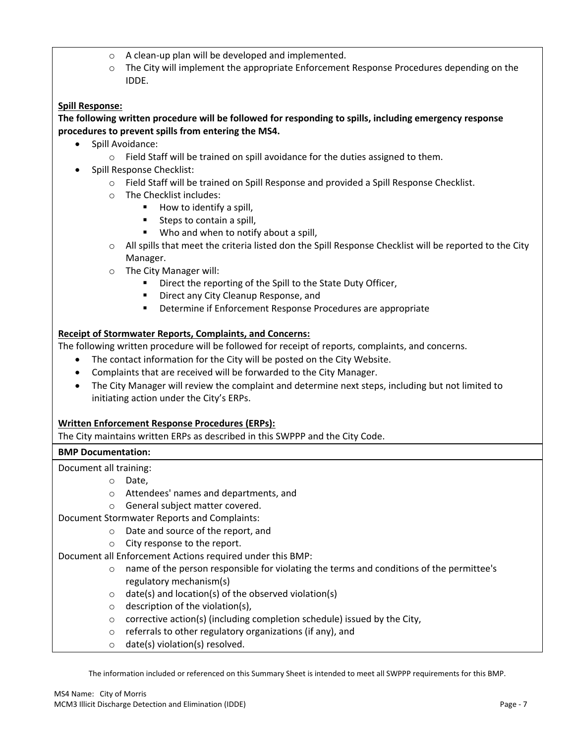- o A clean-up plan will be developed and implemented.
- $\circ$  The City will implement the appropriate Enforcement Response Procedures depending on the IDDE.

# **Spill Response:**

### **The following written procedure will be followed for responding to spills, including emergency response procedures to prevent spills from entering the MS4.**

- Spill Avoidance:
	- $\circ$  Field Staff will be trained on spill avoidance for the duties assigned to them.
- Spill Response Checklist:
	- o Field Staff will be trained on Spill Response and provided a Spill Response Checklist.
	- o The Checklist includes:
		- How to identify a spill.
		- Steps to contain a spill,
		- Who and when to notify about a spill,
	- o All spills that meet the criteria listed don the Spill Response Checklist will be reported to the City Manager.
	- o The City Manager will:
		- Direct the reporting of the Spill to the State Duty Officer,
		- **■** Direct any City Cleanup Response, and
		- Determine if Enforcement Response Procedures are appropriate

### **Receipt of Stormwater Reports, Complaints, and Concerns:**

The following written procedure will be followed for receipt of reports, complaints, and concerns.

- The contact information for the City will be posted on the City Website.
- Complaints that are received will be forwarded to the City Manager.
- The City Manager will review the complaint and determine next steps, including but not limited to initiating action under the City's ERPs.

#### **Written Enforcement Response Procedures (ERPs):**

The City maintains written ERPs as described in this SWPPP and the City Code.

### **BMP Documentation:**

Document all training:

- o Date,
- o Attendees' names and departments, and
- o General subject matter covered.
- Document Stormwater Reports and Complaints:
	- o Date and source of the report, and
	- o City response to the report.
- Document all Enforcement Actions required under this BMP:
	- $\circ$  name of the person responsible for violating the terms and conditions of the permittee's regulatory mechanism(s)
	- $\circ$  date(s) and location(s) of the observed violation(s)
	- $\circ$  description of the violation(s).
	- o corrective action(s) (including completion schedule) issued by the City,
	- o referrals to other regulatory organizations (if any), and
	- o date(s) violation(s) resolved.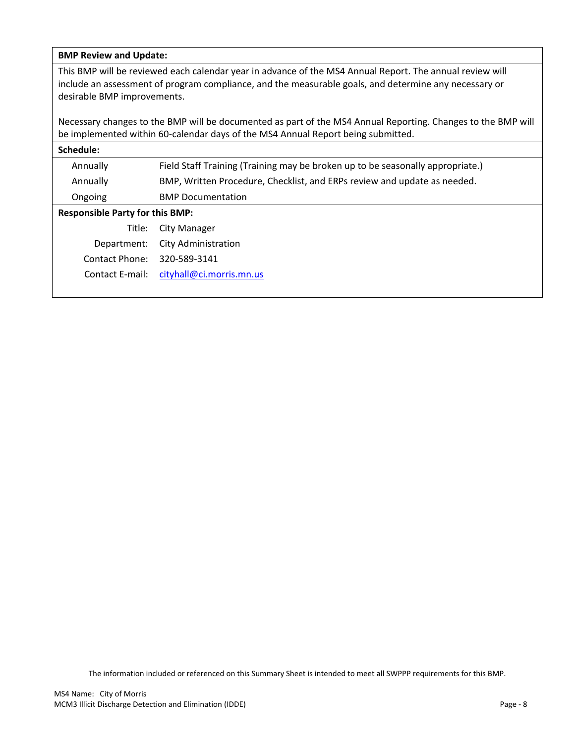#### **BMP Review and Update:**

This BMP will be reviewed each calendar year in advance of the MS4 Annual Report. The annual review will include an assessment of program compliance, and the measurable goals, and determine any necessary or desirable BMP improvements.

Necessary changes to the BMP will be documented as part of the MS4 Annual Reporting. Changes to the BMP will be implemented within 60-calendar days of the MS4 Annual Report being submitted.

| Schedule:                              |                                                                                |  |
|----------------------------------------|--------------------------------------------------------------------------------|--|
| Annually                               | Field Staff Training (Training may be broken up to be seasonally appropriate.) |  |
| Annually                               | BMP, Written Procedure, Checklist, and ERPs review and update as needed.       |  |
| Ongoing                                | <b>BMP Documentation</b>                                                       |  |
| <b>Responsible Party for this BMP:</b> |                                                                                |  |
| Title:                                 | <b>City Manager</b>                                                            |  |
| Department:                            | City Administration                                                            |  |
| Contact Phone:                         | 320-589-3141                                                                   |  |
| Contact E-mail:                        | cityhall@ci.morris.mn.us                                                       |  |
|                                        |                                                                                |  |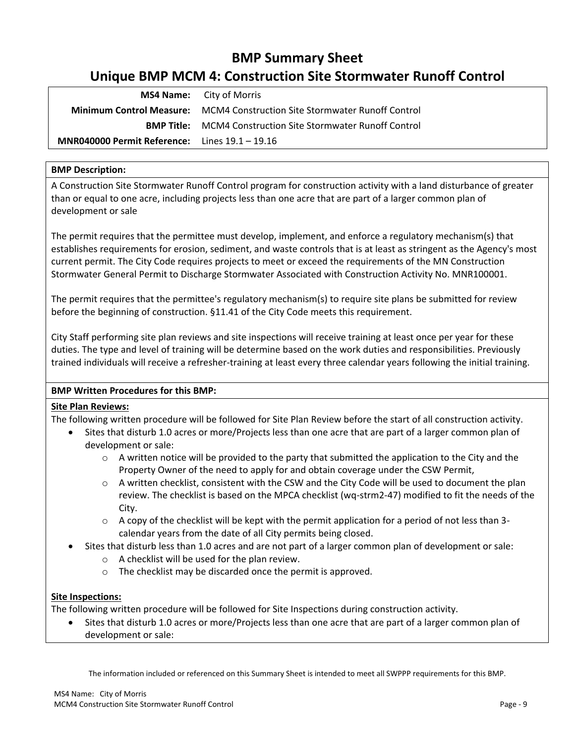# **BMP Summary Sheet Unique BMP MCM 4: Construction Site Stormwater Runoff Control**

<span id="page-10-0"></span>

|                                                         | <b>MS4 Name:</b> City of Morris                                                  |
|---------------------------------------------------------|----------------------------------------------------------------------------------|
|                                                         | <b>Minimum Control Measure:</b> MCM4 Construction Site Stormwater Runoff Control |
|                                                         | <b>BMP Title:</b> MCM4 Construction Site Stormwater Runoff Control               |
| <b>MNR040000 Permit Reference:</b> Lines $19.1 - 19.16$ |                                                                                  |

# **BMP Description:**

A Construction Site Stormwater Runoff Control program for construction activity with a land disturbance of greater than or equal to one acre, including projects less than one acre that are part of a larger common plan of development or sale

The permit requires that the permittee must develop, implement, and enforce a regulatory mechanism(s) that establishes requirements for erosion, sediment, and waste controls that is at least as stringent as the Agency's most current permit. The City Code requires projects to meet or exceed the requirements of the MN Construction Stormwater General Permit to Discharge Stormwater Associated with Construction Activity No. MNR100001.

The permit requires that the permittee's regulatory mechanism(s) to require site plans be submitted for review before the beginning of construction. §11.41 of the City Code meets this requirement.

City Staff performing site plan reviews and site inspections will receive training at least once per year for these duties. The type and level of training will be determine based on the work duties and responsibilities. Previously trained individuals will receive a refresher-training at least every three calendar years following the initial training.

# **BMP Written Procedures for this BMP:**

# **Site Plan Reviews:**

The following written procedure will be followed for Site Plan Review before the start of all construction activity.

- Sites that disturb 1.0 acres or more/Projects less than one acre that are part of a larger common plan of development or sale:
	- $\circ$  A written notice will be provided to the party that submitted the application to the City and the Property Owner of the need to apply for and obtain coverage under the CSW Permit,
	- $\circ$  A written checklist, consistent with the CSW and the City Code will be used to document the plan review. The checklist is based on the MPCA checklist (wq-strm2-47) modified to fit the needs of the City.
	- o A copy of the checklist will be kept with the permit application for a period of not less than 3 calendar years from the date of all City permits being closed.
- Sites that disturb less than 1.0 acres and are not part of a larger common plan of development or sale:
	- o A checklist will be used for the plan review.
	- o The checklist may be discarded once the permit is approved.

# **Site Inspections:**

The following written procedure will be followed for Site Inspections during construction activity.

• Sites that disturb 1.0 acres or more/Projects less than one acre that are part of a larger common plan of development or sale: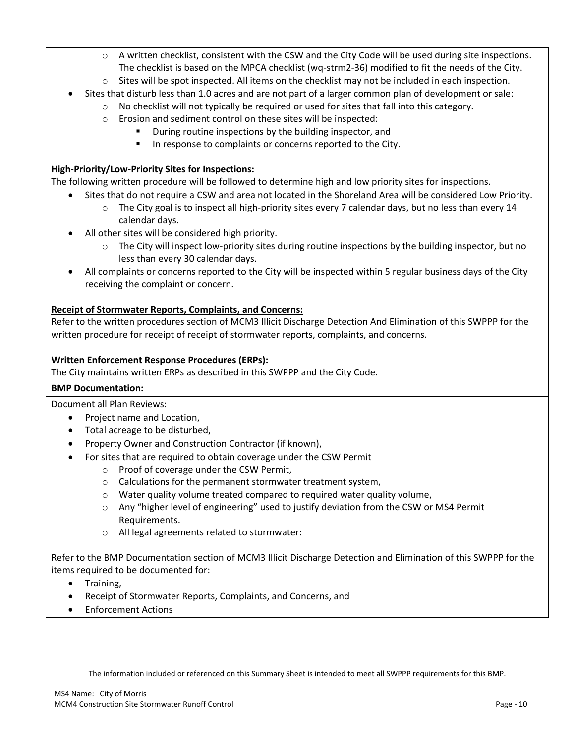- $\circ$  A written checklist, consistent with the CSW and the City Code will be used during site inspections. The checklist is based on the MPCA checklist (wq-strm2-36) modified to fit the needs of the City.
- $\circ$  Sites will be spot inspected. All items on the checklist may not be included in each inspection.
- Sites that disturb less than 1.0 acres and are not part of a larger common plan of development or sale:
	- $\circ$  No checklist will not typically be required or used for sites that fall into this category.
		- o Erosion and sediment control on these sites will be inspected:
			- During routine inspections by the building inspector, and
				- In response to complaints or concerns reported to the City.

# **High-Priority/Low-Priority Sites for Inspections:**

The following written procedure will be followed to determine high and low priority sites for inspections.

- Sites that do not require a CSW and area not located in the Shoreland Area will be considered Low Priority.
	- $\circ$  The City goal is to inspect all high-priority sites every 7 calendar days, but no less than every 14 calendar days.
- All other sites will be considered high priority.
	- The City will inspect low-priority sites during routine inspections by the building inspector, but no less than every 30 calendar days.
- All complaints or concerns reported to the City will be inspected within 5 regular business days of the City receiving the complaint or concern.

# **Receipt of Stormwater Reports, Complaints, and Concerns:**

Refer to the written procedures section of MCM3 Illicit Discharge Detection And Elimination of this SWPPP for the written procedure for receipt of receipt of stormwater reports, complaints, and concerns.

### **Written Enforcement Response Procedures (ERPs):**

The City maintains written ERPs as described in this SWPPP and the City Code.

### **BMP Documentation:**

Document all Plan Reviews:

- Project name and Location,
- Total acreage to be disturbed,
- Property Owner and Construction Contractor (if known),
- For sites that are required to obtain coverage under the CSW Permit
	- o Proof of coverage under the CSW Permit,
	- o Calculations for the permanent stormwater treatment system,
	- o Water quality volume treated compared to required water quality volume,
	- o Any "higher level of engineering" used to justify deviation from the CSW or MS4 Permit Requirements.
	- o All legal agreements related to stormwater:

Refer to the BMP Documentation section of MCM3 Illicit Discharge Detection and Elimination of this SWPPP for the items required to be documented for:

- Training,
- Receipt of Stormwater Reports, Complaints, and Concerns, and
- Enforcement Actions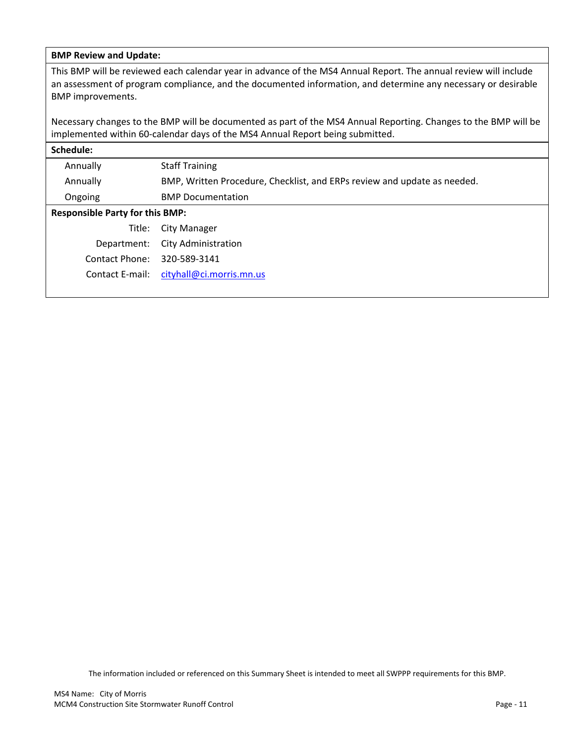#### **BMP Review and Update:**

This BMP will be reviewed each calendar year in advance of the MS4 Annual Report. The annual review will include an assessment of program compliance, and the documented information, and determine any necessary or desirable BMP improvements.

Necessary changes to the BMP will be documented as part of the MS4 Annual Reporting. Changes to the BMP will be implemented within 60-calendar days of the MS4 Annual Report being submitted.

| Schedule:                              |                                                                          |
|----------------------------------------|--------------------------------------------------------------------------|
| Annually                               | <b>Staff Training</b>                                                    |
| Annually                               | BMP, Written Procedure, Checklist, and ERPs review and update as needed. |
| Ongoing                                | <b>BMP Documentation</b>                                                 |
| <b>Responsible Party for this BMP:</b> |                                                                          |
| Title:                                 | City Manager                                                             |
| Department:                            | <b>City Administration</b>                                               |
| Contact Phone:                         | 320-589-3141                                                             |
| Contact E-mail:                        | cityhall@ci.morris.mn.us                                                 |
|                                        |                                                                          |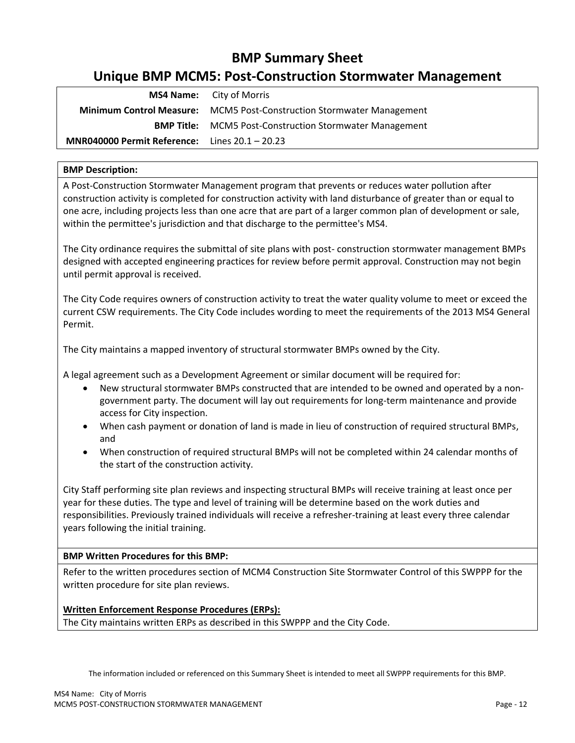# **BMP Summary Sheet Unique BMP MCM5: Post-Construction Stormwater Management**

<span id="page-13-0"></span>

|                                                         | <b>MS4 Name:</b> City of Morris                                              |
|---------------------------------------------------------|------------------------------------------------------------------------------|
|                                                         | <b>Minimum Control Measure:</b> MCM5 Post-Construction Stormwater Management |
|                                                         | <b>BMP Title:</b> MCM5 Post-Construction Stormwater Management               |
| <b>MNR040000 Permit Reference:</b> Lines $20.1 - 20.23$ |                                                                              |

# **BMP Description:**

A Post-Construction Stormwater Management program that prevents or reduces water pollution after construction activity is completed for construction activity with land disturbance of greater than or equal to one acre, including projects less than one acre that are part of a larger common plan of development or sale, within the permittee's jurisdiction and that discharge to the permittee's MS4.

The City ordinance requires the submittal of site plans with post- construction stormwater management BMPs designed with accepted engineering practices for review before permit approval. Construction may not begin until permit approval is received.

The City Code requires owners of construction activity to treat the water quality volume to meet or exceed the current CSW requirements. The City Code includes wording to meet the requirements of the 2013 MS4 General Permit.

The City maintains a mapped inventory of structural stormwater BMPs owned by the City.

A legal agreement such as a Development Agreement or similar document will be required for:

- New structural stormwater BMPs constructed that are intended to be owned and operated by a nongovernment party. The document will lay out requirements for long-term maintenance and provide access for City inspection.
- When cash payment or donation of land is made in lieu of construction of required structural BMPs, and
- When construction of required structural BMPs will not be completed within 24 calendar months of the start of the construction activity.

City Staff performing site plan reviews and inspecting structural BMPs will receive training at least once per year for these duties. The type and level of training will be determine based on the work duties and responsibilities. Previously trained individuals will receive a refresher-training at least every three calendar years following the initial training.

### **BMP Written Procedures for this BMP:**

Refer to the written procedures section of MCM4 Construction Site Stormwater Control of this SWPPP for the written procedure for site plan reviews.

### **Written Enforcement Response Procedures (ERPs):**

The City maintains written ERPs as described in this SWPPP and the City Code.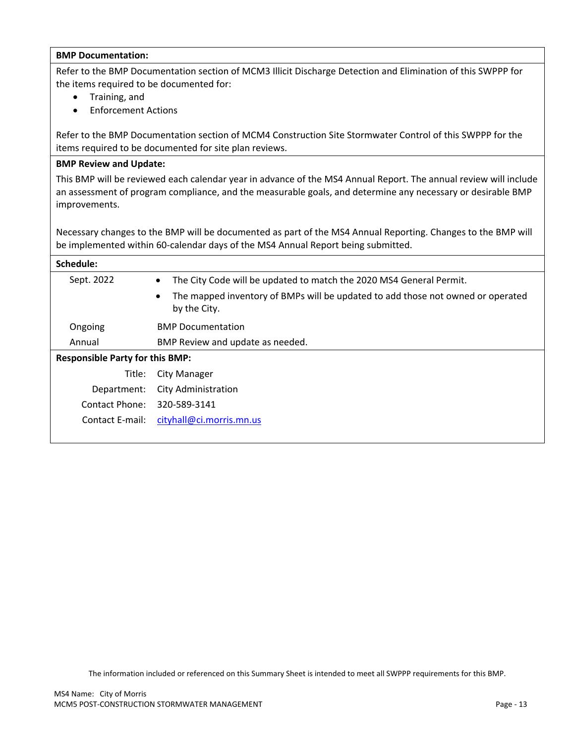| <b>BMP Documentation:</b>                                                                                                                                                                                                                        |                                                                                                              |  |
|--------------------------------------------------------------------------------------------------------------------------------------------------------------------------------------------------------------------------------------------------|--------------------------------------------------------------------------------------------------------------|--|
| Refer to the BMP Documentation section of MCM3 Illicit Discharge Detection and Elimination of this SWPPP for<br>the items required to be documented for:<br>Training, and<br><b>Enforcement Actions</b>                                          |                                                                                                              |  |
| Refer to the BMP Documentation section of MCM4 Construction Site Stormwater Control of this SWPPP for the<br>items required to be documented for site plan reviews.                                                                              |                                                                                                              |  |
| <b>BMP Review and Update:</b>                                                                                                                                                                                                                    |                                                                                                              |  |
| This BMP will be reviewed each calendar year in advance of the MS4 Annual Report. The annual review will include<br>an assessment of program compliance, and the measurable goals, and determine any necessary or desirable BMP<br>improvements. |                                                                                                              |  |
| Necessary changes to the BMP will be documented as part of the MS4 Annual Reporting. Changes to the BMP will<br>be implemented within 60-calendar days of the MS4 Annual Report being submitted.                                                 |                                                                                                              |  |
| Schedule:                                                                                                                                                                                                                                        |                                                                                                              |  |
| Sept. 2022                                                                                                                                                                                                                                       | The City Code will be updated to match the 2020 MS4 General Permit.<br>$\bullet$                             |  |
|                                                                                                                                                                                                                                                  | The mapped inventory of BMPs will be updated to add those not owned or operated<br>$\bullet$<br>by the City. |  |
| Ongoing                                                                                                                                                                                                                                          | <b>BMP Documentation</b>                                                                                     |  |
| Annual                                                                                                                                                                                                                                           | BMP Review and update as needed.                                                                             |  |
| <b>Responsible Party for this BMP:</b>                                                                                                                                                                                                           |                                                                                                              |  |
| Title:                                                                                                                                                                                                                                           | <b>City Manager</b>                                                                                          |  |
| Department:                                                                                                                                                                                                                                      | <b>City Administration</b>                                                                                   |  |
| <b>Contact Phone:</b>                                                                                                                                                                                                                            | 320-589-3141                                                                                                 |  |
| Contact E-mail:                                                                                                                                                                                                                                  | cityhall@ci.morris.mn.us                                                                                     |  |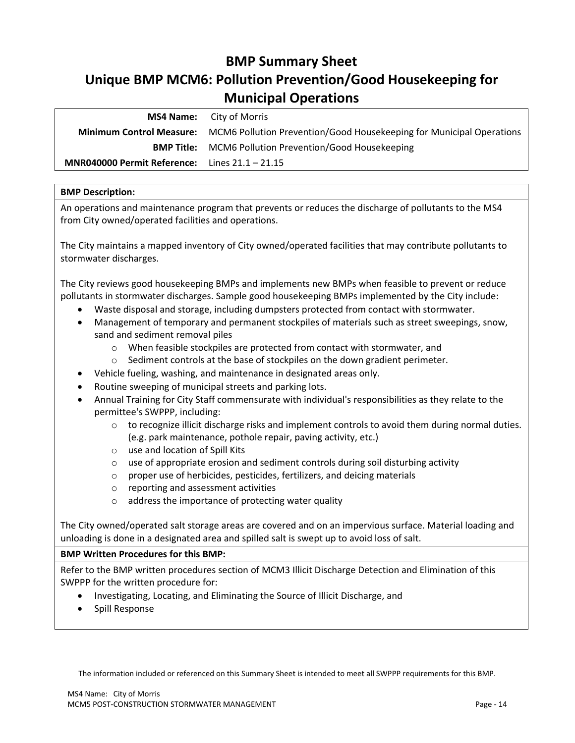# **BMP Summary Sheet**

# <span id="page-15-0"></span>**Unique BMP MCM6: Pollution Prevention/Good Housekeeping for Municipal Operations**

|                                                         | <b>MS4 Name:</b> City of Morris                                                               |
|---------------------------------------------------------|-----------------------------------------------------------------------------------------------|
|                                                         | Minimum Control Measure: MCM6 Pollution Prevention/Good Housekeeping for Municipal Operations |
|                                                         | <b>BMP Title:</b> MCM6 Pollution Prevention/Good Housekeeping                                 |
| <b>MNR040000 Permit Reference:</b> Lines $21.1 - 21.15$ |                                                                                               |
|                                                         |                                                                                               |

#### **BMP Description:**

An operations and maintenance program that prevents or reduces the discharge of pollutants to the MS4 from City owned/operated facilities and operations.

The City maintains a mapped inventory of City owned/operated facilities that may contribute pollutants to stormwater discharges.

The City reviews good housekeeping BMPs and implements new BMPs when feasible to prevent or reduce pollutants in stormwater discharges. Sample good housekeeping BMPs implemented by the City include:

- Waste disposal and storage, including dumpsters protected from contact with stormwater.
- Management of temporary and permanent stockpiles of materials such as street sweepings, snow, sand and sediment removal piles
	- o When feasible stockpiles are protected from contact with stormwater, and
	- $\circ$  Sediment controls at the base of stockpiles on the down gradient perimeter.
- Vehicle fueling, washing, and maintenance in designated areas only.
- Routine sweeping of municipal streets and parking lots.
- Annual Training for City Staff commensurate with individual's responsibilities as they relate to the permittee's SWPPP, including:
	- $\circ$  to recognize illicit discharge risks and implement controls to avoid them during normal duties. (e.g. park maintenance, pothole repair, paving activity, etc.)
	- o use and location of Spill Kits
	- $\circ$  use of appropriate erosion and sediment controls during soil disturbing activity
	- o proper use of herbicides, pesticides, fertilizers, and deicing materials
	- o reporting and assessment activities
	- o address the importance of protecting water quality

The City owned/operated salt storage areas are covered and on an impervious surface. Material loading and unloading is done in a designated area and spilled salt is swept up to avoid loss of salt.

### **BMP Written Procedures for this BMP:**

Refer to the BMP written procedures section of MCM3 Illicit Discharge Detection and Elimination of this SWPPP for the written procedure for:

- Investigating, Locating, and Eliminating the Source of Illicit Discharge, and
- Spill Response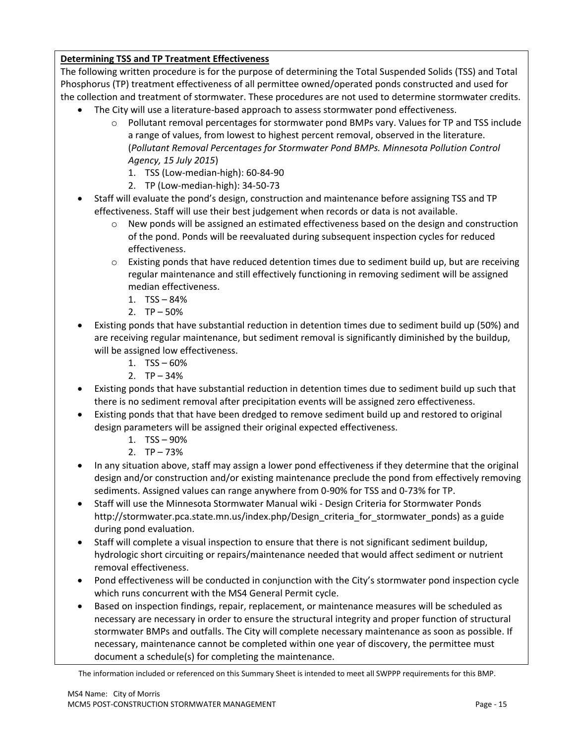# **Determining TSS and TP Treatment Effectiveness**

The following written procedure is for the purpose of determining the Total Suspended Solids (TSS) and Total Phosphorus (TP) treatment effectiveness of all permittee owned/operated ponds constructed and used for the collection and treatment of stormwater. These procedures are not used to determine stormwater credits.

- The City will use a literature-based approach to assess stormwater pond effectiveness.
	- o Pollutant removal percentages for stormwater pond BMPs vary. Values for TP and TSS include a range of values, from lowest to highest percent removal, observed in the literature. (*Pollutant Removal Percentages for Stormwater Pond BMPs. Minnesota Pollution Control Agency, 15 July 2015*)
		- 1. TSS (Low-median-high): 60-84-90
		- 2. TP (Low-median-high): 34-50-73
- Staff will evaluate the pond's design, construction and maintenance before assigning TSS and TP effectiveness. Staff will use their best judgement when records or data is not available.
	- $\circ$  New ponds will be assigned an estimated effectiveness based on the design and construction of the pond. Ponds will be reevaluated during subsequent inspection cycles for reduced effectiveness.
	- $\circ$  Existing ponds that have reduced detention times due to sediment build up, but are receiving regular maintenance and still effectively functioning in removing sediment will be assigned median effectiveness.
		- 1. TSS 84%
		- 2.  $TP 50%$
- Existing ponds that have substantial reduction in detention times due to sediment build up (50%) and are receiving regular maintenance, but sediment removal is significantly diminished by the buildup, will be assigned low effectiveness.
	- 1.  $TSS 60%$
	- 2.  $TP 34%$
- Existing ponds that have substantial reduction in detention times due to sediment build up such that there is no sediment removal after precipitation events will be assigned zero effectiveness.
- Existing ponds that that have been dredged to remove sediment build up and restored to original design parameters will be assigned their original expected effectiveness.
	- 1. TSS 90%
	- 2.  $TP 73%$
- In any situation above, staff may assign a lower pond effectiveness if they determine that the original design and/or construction and/or existing maintenance preclude the pond from effectively removing sediments. Assigned values can range anywhere from 0-90% for TSS and 0-73% for TP.
- Staff will use the Minnesota Stormwater Manual wiki Design Criteria for Stormwater Ponds http://stormwater.pca.state.mn.us/index.php/Design\_criteria\_for\_stormwater\_ponds) as a guide during pond evaluation.
- Staff will complete a visual inspection to ensure that there is not significant sediment buildup, hydrologic short circuiting or repairs/maintenance needed that would affect sediment or nutrient removal effectiveness.
- Pond effectiveness will be conducted in conjunction with the City's stormwater pond inspection cycle which runs concurrent with the MS4 General Permit cycle.
- Based on inspection findings, repair, replacement, or maintenance measures will be scheduled as necessary are necessary in order to ensure the structural integrity and proper function of structural stormwater BMPs and outfalls. The City will complete necessary maintenance as soon as possible. If necessary, maintenance cannot be completed within one year of discovery, the permittee must document a schedule(s) for completing the maintenance.